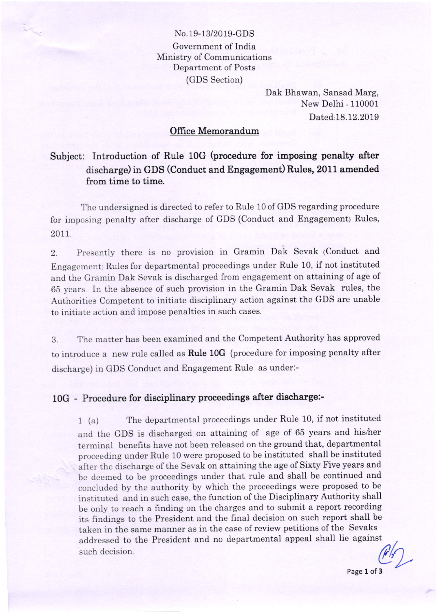### No.19-13/2019-GDS Government of India Ministry of Communications Department of Posts (GDS Section)

Dak Bhawan, Sansad Marg, New Delhi - 110001 Dated:18.12.2019

#### Office Memorandum

# Subject: Introduction of Rule 10G (procedure for imposing penalty after discharge) in GDS (Conduct and Engagement) Rules, 2011 amended from time to time.

The undersigned is directed to refer to Rule 10 of GDS regarding procedure for imposing penalty after discharge of GDS (Conduct and Engagement) Rules, 2011

2. Presently there is no provision in Gramin Dak Sevak (Conduct and Engagementy Rules for departmental proceedings under Rule 10, if not instituted and the Gramin Dak Sevak is discharged from engagement on attaining of age of 65 years. In the absence of such provision in the Gramin Dak Sevak rules, the Authorities Competent to initiate disciplinary action against the GDS are unable to initiate action and impose penalties in such cases.

3. The matter has been examined and the Competent Authority has approved to introduce a new rule called as Rule 10G (procedure for imposing penalty after discharge) in GDS Conduct and Engagement Rule as under:-

# 10G - Procedure for disciplinary proceedings after discharge:-

1 (a) The departmental proceedings under RuIe 10, if not instituted and the GDS is discharged on attaining of age of 65 years and hislher terminal benefrts have not been released on the ground that, departmental proceeding under RuIe 10 were proposed to be instituted shall be instituted after the discharge of the Sevak on attaining the age of Sixty Five years and be deemed to be proceedings under that rule and shall be continued and concluded by the authority by which the proceedings were proposed to be instituted and in such case, the function of the Disciplinary Authority shall be only to reach a finding on the charges and to submit a report recording its findings to the President and the final decision on such report shall be taken in the same manner as in the case of review petitions of the Sevaks addressed to the President and no departmental appeal shall lie against  $\theta$  such decision.

Page 1 of 3